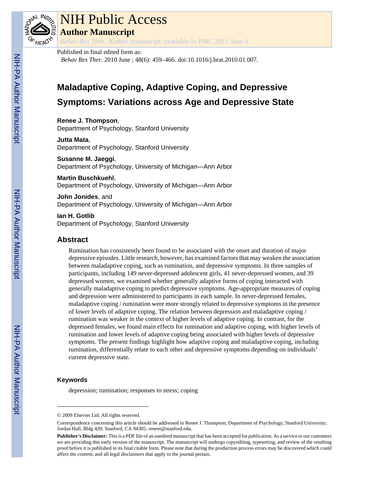

# NIH Public Access

**Author Manuscript**

*Behav Res Ther*. Author manuscript; available in PMC 2011 June 1.

## Published in final edited form as:

*Behav Res Ther*. 2010 June ; 48(6): 459–466. doi:10.1016/j.brat.2010.01.007.

## **Maladaptive Coping, Adaptive Coping, and Depressive Symptoms: Variations across Age and Depressive State**

**Renee J. Thompson**, Department of Psychology, Stanford University

**Jutta Mata**, Department of Psychology, Stanford University

#### **Susanne M. Jaeggi**, Department of Psychology, University of Michigan—Ann Arbor

**Martin Buschkuehl**,

Department of Psychology, University of Michigan—Ann Arbor

**John Jonides**, and Department of Psychology, University of Michigan—Ann Arbor

**Ian H. Gotlib** Department of Psychology, Stanford University

## **Abstract**

Rumination has consistently been found to be associated with the onset and duration of major depressive episodes. Little research, however, has examined factors that may weaken the association between maladaptive coping, such as rumination, and depressive symptoms. In three samples of participants, including 149 never-depressed adolescent girls, 41 never-depressed women, and 39 depressed women, we examined whether generally adaptive forms of coping interacted with generally maladaptive coping to predict depressive symptoms. Age-appropriate measures of coping and depression were administered to participants in each sample. In never-depressed females, maladaptive coping / rumination were more strongly related to depressive symptoms in the presence of lower levels of adaptive coping. The relation between depression and maladaptive coping / rumination was weaker in the context of higher levels of adaptive coping. In contrast, for the depressed females, we found main effects for rumination and adaptive coping, with higher levels of rumination and lower levels of adaptive coping being associated with higher levels of depressive symptoms. The present findings highlight how adaptive coping and maladaptive coping, including rumination, differentially relate to each other and depressive symptoms depending on individuals' current depressive state.

## **Keywords**

depression; rumination; responses to stress; coping

<sup>© 2009</sup> Elsevier Ltd. All rights reserved.

Correspondence concerning this article should be addressed to Renee J. Thompson; Department of Psychology; Stanford University; Jordan Hall, Bldg 420; Stanford, CA 94305; reneet@stanford.edu.

**Publisher's Disclaimer:** This is a PDF file of an unedited manuscript that has been accepted for publication. As a service to our customers we are providing this early version of the manuscript. The manuscript will undergo copyediting, typesetting, and review of the resulting proof before it is published in its final citable form. Please note that during the production process errors may be discovered which could affect the content, and all legal disclaimers that apply to the journal pertain.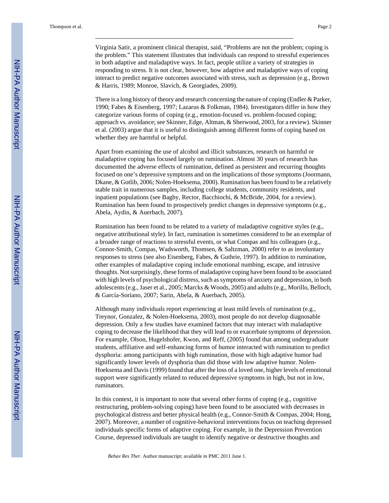Virginia Satir, a prominent clinical therapist, said, "Problems are not the problem; coping is the problem." This statement illustrates that individuals can respond to stressful experiences in both adaptive and maladaptive ways. In fact, people utilize a variety of strategies in responding to stress. It is not clear, however, how adaptive and maladaptive ways of coping interact to predict negative outcomes associated with stress, such as depression (e.g., Brown & Harris, 1989; Monroe, Slavich, & Georgiades, 2009).

There is a long history of theory and research concerning the nature of coping (Endler & Parker, 1990; Fabes & Eisenberg, 1997; Lazarus & Folkman, 1984). Investigators differ in how they categorize various forms of coping (e.g., emotion-focused vs. problem-focused coping; approach vs. avoidance; see Skinner, Edge, Altman, & Sherwood, 2003, for a review). Skinner et al. (2003) argue that it is useful to distinguish among different forms of coping based on whether they are harmful or helpful.

Apart from examining the use of alcohol and illicit substances, research on harmful or maladaptive coping has focused largely on rumination. Almost 30 years of research has documented the adverse effects of rumination, defined as persistent and recurring thoughts focused on one's depressive symptoms and on the implications of those symptoms (Joormann, Dkane, & Gotlib, 2006; Nolen-Hoeksema, 2000). Rumination has been found to be a relatively stable trait in numerous samples, including college students, community residents, and inpatient populations (see Bagby, Rector, Bacchiochi, & McBride, 2004, for a review). Rumination has been found to prospectively predict changes in depressive symptoms (e.g., Abela, Aydin, & Auerbach, 2007).

Rumination has been found to be related to a variety of maladaptive cognitive styles (e.g., negative attributional style). In fact, rumination is sometimes considered to be an exemplar of a broader range of reactions to stressful events, or what Compas and his colleagues (e.g., Connor-Smith, Compas, Wadsworth, Thomsen, & Saltzman, 2000) refer to as involuntary responses to stress (see also Eisenberg, Fabes, & Guthrie, 1997). In addition to rumination, other examples of maladaptive coping include emotional numbing, escape, and intrusive thoughts. Not surprisingly, these forms of maladaptive coping have been found to be associated with high levels of psychological distress, such as symptoms of anxiety and depression, in both adolescents (e.g., Jaser et al., 2005; Marcks & Woods, 2005) and adults (e.g., Morillo, Belloch, & García-Soriano, 2007; Sarin, Abela, & Auerbach, 2005).

Although many individuals report experiencing at least mild levels of rumination (e.g., Treynor, Gonzalez, & Nolen-Hoeksema, 2003), most people do not develop diagnosable depression. Only a few studies have examined factors that may interact with maladaptive coping to decrease the likelihood that they will lead to or exacerbate symptoms of depression. For example, Olson, Hugelshofer, Kwon, and Reff, (2005) found that among undergraduate students, affiliative and self-enhancing forms of humor interacted with rumination to predict dysphoria: among participants with high rumination, those with high adaptive humor had significantly lower levels of dysphoria than did those with low adaptive humor. Nolen-Hoeksema and Davis (1999) found that after the loss of a loved one, higher levels of emotional support were significantly related to reduced depressive symptoms in high, but not in low, ruminators.

In this context, it is important to note that several other forms of coping (e.g., cognitive restructuring, problem-solving coping) have been found to be associated with decreases in psychological distress and better physical health (e.g., Connor-Smith & Compas, 2004; Hong, 2007). Moreover, a number of cognitive-behavioral interventions focus on teaching depressed individuals specific forms of adaptive coping. For example, in the Depression Prevention Course, depressed individuals are taught to identify negative or destructive thoughts and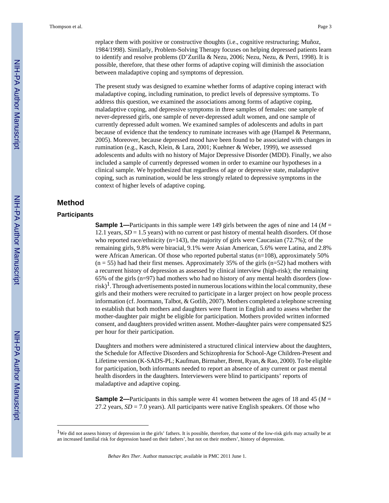replace them with positive or constructive thoughts (i.e., cognitive restructuring; Muñoz, 1984/1998). Similarly, Problem-Solving Therapy focuses on helping depressed patients learn to identify and resolve problems (D'Zurilla & Nezu, 2006; Nezu, Nezu, & Perri, 1998). It is possible, therefore, that these other forms of adaptive coping will diminish the association between maladaptive coping and symptoms of depression.

The present study was designed to examine whether forms of adaptive coping interact with maladaptive coping, including rumination, to predict levels of depressive symptoms. To address this question, we examined the associations among forms of adaptive coping, maladaptive coping, and depressive symptoms in three samples of females: one sample of never-depressed girls, one sample of never-depressed adult women, and one sample of currently depressed adult women. We examined samples of adolescents and adults in part because of evidence that the tendency to ruminate increases with age (Hampel & Petermann, 2005). Moreover, because depressed mood have been found to be associated with changes in rumination (e.g., Kasch, Klein, & Lara, 2001; Kuehner & Weber, 1999), we assessed adolescents and adults with no history of Major Depressive Disorder (MDD). Finally, we also included a sample of currently depressed women in order to examine our hypotheses in a clinical sample. We hypothesized that regardless of age or depressive state, maladaptive coping, such as rumination, would be less strongly related to depressive symptoms in the context of higher levels of adaptive coping.

## **Method**

#### **Participants**

**Sample 1—**Participants in this sample were 149 girls between the ages of nine and 14 ( $M =$ 12.1 years, *SD* = 1.5 years) with no current or past history of mental health disorders. Of those who reported race/ethnicity (n=143), the majority of girls were Caucasian (72.7%); of the remaining girls, 9.8% were biracial, 9.1% were Asian American, 5.6% were Latina, and 2.8% were African American. Of those who reported pubertal status (n=108), approximately 50%  $(n = 55)$  had had their first menses. Approximately 35% of the girls  $(n=52)$  had mothers with a recurrent history of depression as assessed by clinical interview (high-risk); the remaining 65% of the girls (n=97) had mothers who had no history of any mental health disorders (lowrisk)<sup>1</sup>. Through advertisements posted in numerous locations within the local community, these girls and their mothers were recruited to participate in a larger project on how people process information (cf. Joormann, Talbot, & Gotlib, 2007). Mothers completed a telephone screening to establish that both mothers and daughters were fluent in English and to assess whether the mother-daughter pair might be eligible for participation. Mothers provided written informed consent, and daughters provided written assent. Mother-daughter pairs were compensated \$25 per hour for their participation.

Daughters and mothers were administered a structured clinical interview about the daughters, the Schedule for Affective Disorders and Schizophrenia for School-Age Children-Present and Lifetime version (K-SADS-PL; Kaufman, Birmaher, Brent, Ryan, & Rao, 2000). To be eligible for participation, both informants needed to report an absence of any current or past mental health disorders in the daughters. Interviewers were blind to participants' reports of maladaptive and adaptive coping.

**Sample 2—**Participants in this sample were 41 women between the ages of 18 and 45 (*M* = 27.2 years, *SD* = 7.0 years). All participants were native English speakers. Of those who

<sup>1</sup>We did not assess history of depression in the girls' fathers. It is possible, therefore, that some of the low-risk girls may actually be at an increased familial risk for depression based on their fathers', but not on their mothers', history of depression.

*Behav Res Ther*. Author manuscript; available in PMC 2011 June 1.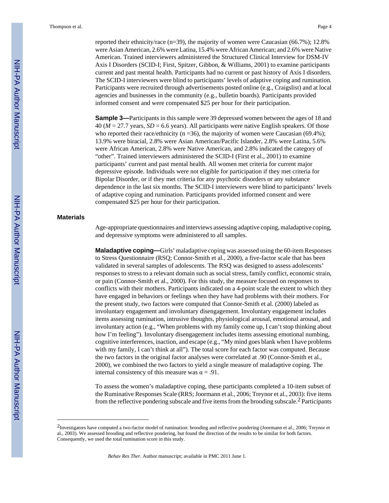reported their ethnicity/race  $(n=39)$ , the majority of women were Caucasian (66.7%); 12.8% were Asian American, 2.6% were Latina, 15.4% were African American; and 2.6% were Native American. Trained interviewers administered the Structured Clinical Interview for DSM-IV Axis I Disorders (SCID-I; First, Spitzer, Gibbon, & Williams, 2001) to examine participants current and past mental health. Participants had no current or past history of Axis I disorders. The SCID-I interviewers were blind to participants' levels of adaptive coping and rumination. Participants were recruited through advertisements posted online (e.g., Craigslist) and at local agencies and businesses in the community (e.g., bulletin boards). Participants provided informed consent and were compensated \$25 per hour for their participation.

**Sample 3—**Participants in this sample were 39 depressed women between the ages of 18 and  $40 (M = 27.7 \text{ years}, SD = 6.6 \text{ years})$ . All participants were native English speakers. Of those who reported their race/ethnicity ( $n = 36$ ), the majority of women were Caucasian (69.4%); 13.9% were biracial, 2.8% were Asian American/Pacific Islander, 2.8% were Latina, 5.6% were African American, 2.8% were Native American, and 2.8% indicated the category of "other". Trained interviewers administered the SCID-I (First et al., 2001) to examine participants' current and past mental health. All women met criteria for current major depressive episode. Individuals were not eligible for participation if they met criteria for Bipolar Disorder, or if they met criteria for any psychotic disorders or any substance dependence in the last six months. The SCID-I interviewers were blind to participants' levels of adaptive coping and rumination. Participants provided informed consent and were compensated \$25 per hour for their participation.

#### **Materials**

Age-appropriate questionnaires and interviews assessing adaptive coping, maladaptive coping, and depressive symptoms were administered to all samples.

**Maladaptive coping—**Girls' maladaptive coping was assessed using the 60-item Responses to Stress Questionnaire (RSQ; Connor-Smith et al., 2000), a five-factor scale that has been validated in several samples of adolescents. The RSQ was designed to assess adolescents' responses to stress to a relevant domain such as social stress, family conflict, economic strain, or pain (Connor-Smith et al., 2000). For this study, the measure focused on responses to conflicts with their mothers. Participants indicated on a 4-point scale the extent to which they have engaged in behaviors or feelings when they have had problems with their mothers. For the present study, two factors were computed that Connor-Smith et al. (2000) labeled as involuntary engagement and involuntary disengagement. Involuntary engagement includes items assessing rumination, intrusive thoughts, physiological arousal, emotional arousal, and involuntary action (e.g., "When problems with my family come up, I can't stop thinking about how I'm feeling"). Involuntary disengagement includes items assessing emotional numbing, cognitive interferences, inaction, and escape (e.g., "My mind goes blank when I have problems with my family, I can't think at all"). The total score for each factor was computed. Because the two factors in the original factor analyses were correlated at .90 (Connor-Smith et al., 2000), we combined the two factors to yield a single measure of maladaptive coping. The internal consistency of this measure was  $\alpha = .91$ .

To assess the women's maladaptive coping, these participants completed a 10-item subset of the Ruminative Responses Scale (RRS; Joormann et al., 2006; Treynor et al., 2003): five items from the reflective pondering subscale and five items from the brooding subscale.2 Participants

<sup>2</sup>Investigators have computed a two-factor model of rumination: brooding and reflective pondering (Joormann et al., 2006; Treynor et al., 2003). We assessed brooding and reflective pondering, but found the direction of the results to be similar for both factors. Consequently, we used the total rumination score in this study.

*Behav Res Ther*. Author manuscript; available in PMC 2011 June 1.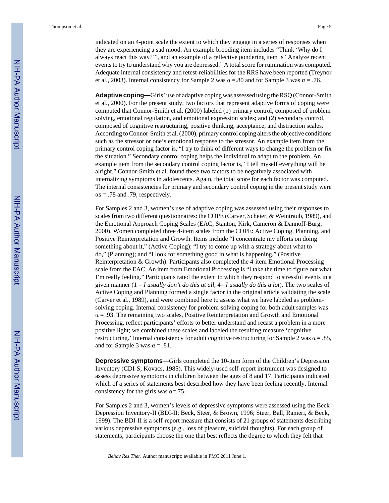indicated on an 4-point scale the extent to which they engage in a series of responses when they are experiencing a sad mood. An example brooding item includes "Think 'Why do I always react this way?'", and an example of a reflective pondering item is "Analyze recent events to try to understand why you are depressed." A total score for rumination was computed. Adequate internal consistency and retest-reliabilities for the RRS have been reported (Treynor et al., 2003). Internal consistency for Sample 2 was  $\alpha = .80$  and for Sample 3 was  $\alpha = .76$ .

**Adaptive coping—**Girls' use of adaptive coping was assessed using the RSQ (Connor-Smith et al., 2000). For the present study, two factors that represent adaptive forms of coping were computed that Connor-Smith et al. (2000) labeled (1) primary control, composed of problem solving, emotional regulation, and emotional expression scales; and (2) secondary control, composed of cognitive restructuring, positive thinking, acceptance, and distraction scales. According to Connor-Smith et al. (2000), primary control coping alters the objective conditions such as the stressor or one's emotional response to the stressor. An example item from the primary control coping factor is, "I try to think of different ways to change the problem or fix the situation." Secondary control coping helps the individual to adapt to the problem. An example item from the secondary control coping factor is, "I tell myself everything will be alright." Connor-Smith et al. found these two factors to be negatively associated with internalizing symptoms in adolescents. Again, the total score for each factor was computed. The internal consistencies for primary and secondary control coping in the present study were  $\alpha s = .78$  and .79, respectively.

For Samples 2 and 3, women's use of adaptive coping was assessed using their responses to scales from two different questionnaires: the COPE (Carver, Scheier, & Weintraub, 1989), and the Emotional Approach Coping Scales (EAC; Stanton, Kirk, Cameron & Dannoff-Burg, 2000). Women completed three 4-item scales from the COPE: Active Coping, Planning, and Positive Reinterpretation and Growth. Items include "I concentrate my efforts on doing something about it," (Active Coping); "I try to come up with a strategy about what to do," (Planning); and "I look for something good in what is happening," (Positive Reinterpretation & Growth). Participants also completed the 4-item Emotional Processing scale from the EAC. An item from Emotional Processing is "I take the time to figure out what I'm really feeling." Participants rated the extent to which they respond to stressful events in a given manner (1 = *I usually don't do this at all*, 4= *I usually do this a lot*). The two scales of Active Coping and Planning formed a single factor in the original article validating the scale (Carver et al., 1989), and were combined here to assess what we have labeled as problemsolving coping. Internal consistency for problem-solving coping for both adult samples was  $\alpha$  = .93. The remaining two scales, Positive Reinterpretation and Growth and Emotional Processing, reflect participants' efforts to better understand and recast a problem in a more positive light; we combined these scales and labeled the resulting measure 'cognitive restructuring.' Internal consistency for adult cognitive restructuring for Sample 2 was  $\alpha = .85$ , and for Sample 3 was  $\alpha = .81$ .

**Depressive symptoms—**Girls completed the 10-item form of the Children's Depression Inventory (CDI-S; Kovacs, 1985). This widely-used self-report instrument was designed to assess depressive symptoms in children between the ages of 8 and 17. Participants indicated which of a series of statements best described how they have been feeling recently. Internal consistency for the girls was  $\alpha = .75$ .

For Samples 2 and 3, women's levels of depressive symptoms were assessed using the Beck Depression Inventory-II (BDI-II; Beck, Steer, & Brown, 1996; Steer, Ball, Ranieri, & Beck, 1999). The BDI-II is a self-report measure that consists of 21 groups of statements describing various depressive symptoms (e.g., loss of pleasure, suicidal thoughts). For each group of statements, participants choose the one that best reflects the degree to which they felt that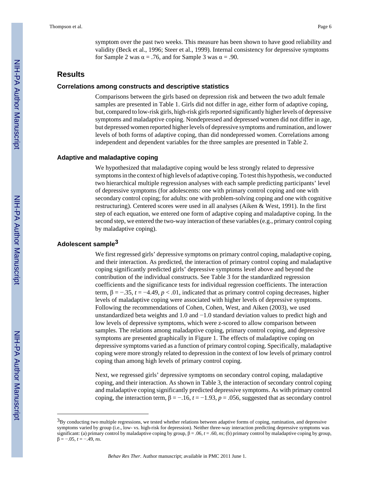symptom over the past two weeks. This measure has been shown to have good reliability and validity (Beck et al., 1996; Steer et al., 1999). Internal consistency for depressive symptoms for Sample 2 was  $\alpha = .76$ , and for Sample 3 was  $\alpha = .90$ .

#### **Results**

#### **Correlations among constructs and descriptive statistics**

Comparisons between the girls based on depression risk and between the two adult female samples are presented in Table 1. Girls did not differ in age, either form of adaptive coping, but, compared to low-risk girls, high-risk girls reported significantly higher levels of depressive symptoms and maladaptive coping. Nondepressed and depressed women did not differ in age, but depressed women reported higher levels of depressive symptoms and rumination, and lower levels of both forms of adaptive coping, than did nondepressed women. Correlations among independent and dependent variables for the three samples are presented in Table 2.

#### **Adaptive and maladaptive coping**

We hypothesized that maladaptive coping would be less strongly related to depressive symptoms in the context of high levels of adaptive coping. To test this hypothesis, we conducted two hierarchical multiple regression analyses with each sample predicting participants' level of depressive symptoms (for adolescents: one with primary control coping and one with secondary control coping; for adults: one with problem-solving coping and one with cognitive restructuring). Centered scores were used in all analyses (Aiken & West, 1991). In the first step of each equation, we entered one form of adaptive coping and maladaptive coping. In the second step, we entered the two-way interaction of these variables (e.g., primary control coping by maladaptive coping).

#### **Adolescent sample3**

We first regressed girls' depressive symptoms on primary control coping, maladaptive coping, and their interaction. As predicted, the interaction of primary control coping and maladaptive coping significantly predicted girls' depressive symptoms level above and beyond the contribution of the individual constructs. See Table 3 for the standardized regression coefficients and the significance tests for individual regression coefficients. The interaction term,  $\beta = -0.35$ ,  $t = -4.49$ ,  $p < 0.01$ , indicated that as primary control coping decreases, higher levels of maladaptive coping were associated with higher levels of depressive symptoms. Following the recommendations of Cohen, Cohen, West, and Aiken (2003), we used unstandardized beta weights and 1.0 and −1.0 standard deviation values to predict high and low levels of depressive symptoms, which were z-scored to allow comparison between samples. The relations among maladaptive coping, primary control coping, and depressive symptoms are presented graphically in Figure 1. The effects of maladaptive coping on depressive symptoms varied as a function of primary control coping. Specifically, maladaptive coping were more strongly related to depression in the context of low levels of primary control coping than among high levels of primary control coping.

Next, we regressed girls' depressive symptoms on secondary control coping, maladaptive coping, and their interaction. As shown in Table 3, the interaction of secondary control coping and maladaptive coping significantly predicted depressive symptoms. As with primary control coping, the interaction term,  $\beta = -.16$ ,  $t = -1.93$ ,  $p = .056$ , suggested that as secondary control

<sup>&</sup>lt;sup>3</sup>By conducting two multiple regressions, we tested whether relations between adaptive forms of coping, rumination, and depressive symptoms varied by group (i.e., low- vs. high-risk for depression). Neither three-way interaction predicting depressive symptoms was significant: (a) primary control by maladaptive coping by group,  $\beta = .06$ ,  $t = .60$ ,  $ns$ ; (b) primary control by maladaptive coping by group, β = −.05, *t* = −.49, *ns*.

*Behav Res Ther*. Author manuscript; available in PMC 2011 June 1.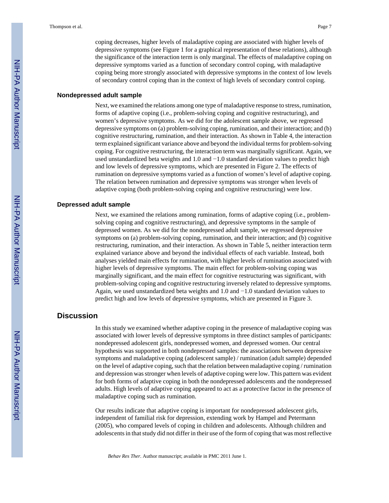coping decreases, higher levels of maladaptive coping are associated with higher levels of depressive symptoms (see Figure 1 for a graphical representation of these relations), although the significance of the interaction term is only marginal. The effects of maladaptive coping on depressive symptoms varied as a function of secondary control coping, with maladaptive coping being more strongly associated with depressive symptoms in the context of low levels of secondary control coping than in the context of high levels of secondary control coping.

#### **Nondepressed adult sample**

Next, we examined the relations among one type of maladaptive response to stress, rumination, forms of adaptive coping (i.e., problem-solving coping and cognitive restructuring), and women's depressive symptoms. As we did for the adolescent sample above, we regressed depressive symptoms on (a) problem-solving coping, rumination, and their interaction; and (b) cognitive restructuring, rumination, and their interaction. As shown in Table 4, the interaction term explained significant variance above and beyond the individual terms for problem-solving coping. For cognitive restructuring, the interaction term was marginally significant. Again, we used unstandardized beta weights and 1.0 and −1.0 standard deviation values to predict high and low levels of depressive symptoms, which are presented in Figure 2. The effects of rumination on depressive symptoms varied as a function of women's level of adaptive coping. The relation between rumination and depressive symptoms was stronger when levels of adaptive coping (both problem-solving coping and cognitive restructuring) were low.

#### **Depressed adult sample**

Next, we examined the relations among rumination, forms of adaptive coping (i.e., problemsolving coping and cognitive restructuring), and depressive symptoms in the sample of depressed women. As we did for the nondepressed adult sample, we regressed depressive symptoms on (a) problem-solving coping, rumination, and their interaction; and (b) cognitive restructuring, rumination, and their interaction. As shown in Table 5, neither interaction term explained variance above and beyond the individual effects of each variable. Instead, both analyses yielded main effects for rumination, with higher levels of rumination associated with higher levels of depressive symptoms. The main effect for problem-solving coping was marginally significant, and the main effect for cognitive restructuring was significant, with problem-solving coping and cognitive restructuring inversely related to depressive symptoms. Again, we used unstandardized beta weights and 1.0 and −1.0 standard deviation values to predict high and low levels of depressive symptoms, which are presented in Figure 3.

## **Discussion**

In this study we examined whether adaptive coping in the presence of maladaptive coping was associated with lower levels of depressive symptoms in three distinct samples of participants: nondepressed adolescent girls, nondepressed women, and depressed women. Our central hypothesis was supported in both nondepressed samples: the associations between depressive symptoms and maladaptive coping (adolescent sample) / rumination (adult sample) depended on the level of adaptive coping, such that the relation between maladaptive coping / rumination and depression was stronger when levels of adaptive coping were low. This pattern was evident for both forms of adaptive coping in both the nondepressed adolescents and the nondepressed adults. High levels of adaptive coping appeared to act as a protective factor in the presence of maladaptive coping such as rumination.

Our results indicate that adaptive coping is important for nondepressed adolescent girls, independent of familial risk for depression, extending work by Hampel and Petermann (2005), who compared levels of coping in children and adolescents. Although children and adolescents in that study did not differ in their use of the form of coping that was most reflective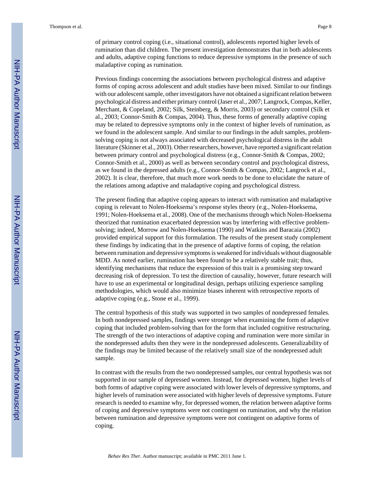of primary control coping (i.e., situational control), adolescents reported higher levels of rumination than did children. The present investigation demonstrates that in both adolescents and adults, adaptive coping functions to reduce depressive symptoms in the presence of such maladaptive coping as rumination.

Previous findings concerning the associations between psychological distress and adaptive forms of coping across adolescent and adult studies have been mixed. Similar to our findings with our adolescent sample, other investigators have not obtained a significant relation between psychological distress and either primary control (Jaser et al., 2007; Langrock, Compas, Keller, Merchant, & Copeland, 2002; Silk, Steinberg, & Morris, 2003) or secondary control (Silk et al., 2003; Connor-Smith & Compas, 2004). Thus, these forms of generally adaptive coping may be related to depressive symptoms only in the context of higher levels of rumination, as we found in the adolescent sample. And similar to our findings in the adult samples, problemsolving coping is not always associated with decreased psychological distress in the adult literature (Skinner et al., 2003). Other researchers, however, have reported a significant relation between primary control and psychological distress (e.g., Connor-Smith & Compas, 2002; Connor-Smith et al., 2000) as well as between secondary control and psychological distress, as we found in the depressed adults (e.g., Connor-Smith & Compas, 2002; Langrock et al., 2002). It is clear, therefore, that much more work needs to be done to elucidate the nature of the relations among adaptive and maladaptive coping and psychological distress.

The present finding that adaptive coping appears to interact with rumination and maladaptive coping is relevant to Nolen-Hoeksema's response styles theory (e.g., Nolen-Hoeksema, 1991; Nolen-Hoeksema et al., 2008). One of the mechanisms through which Nolen-Hoeksema theorized that rumination exacerbated depression was by interfering with effective problemsolving; indeed, Morrow and Nolen-Hoeksema (1990) and Watkins and Baracaia (2002) provided empirical support for this formulation. The results of the present study complement these findings by indicating that in the presence of adaptive forms of coping, the relation between rumination and depressive symptoms is weakened for individuals without diagnosable MDD. As noted earlier, rumination has been found to be a relatively stable trait; thus, identifying mechanisms that reduce the expression of this trait is a promising step toward decreasing risk of depression. To test the direction of causality, however, future research will have to use an experimental or longitudinal design, perhaps utilizing experience sampling methodologies, which would also minimize biases inherent with retrospective reports of adaptive coping (e.g., Stone et al., 1999).

The central hypothesis of this study was supported in two samples of nondepressed females. In both nondepressed samples, findings were stronger when examining the form of adaptive coping that included problem-solving than for the form that included cognitive restructuring. The strength of the two interactions of adaptive coping and rumination were more similar in the nondepressed adults then they were in the nondepressed adolescents. Generalizability of the findings may be limited because of the relatively small size of the nondepressed adult sample.

In contrast with the results from the two nondepressed samples, our central hypothesis was not supported in our sample of depressed women. Instead, for depressed women, higher levels of both forms of adaptive coping were associated with lower levels of depressive symptoms, and higher levels of rumination were associated with higher levels of depressive symptoms. Future research is needed to examine why, for depressed women, the relation between adaptive forms of coping and depressive symptoms were not contingent on rumination, and why the relation between rumination and depressive symptoms were not contingent on adaptive forms of coping.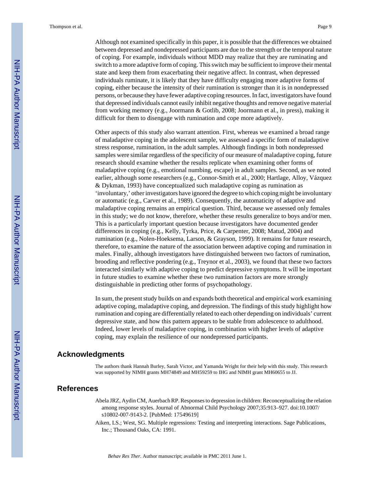Thompson et al. Page 9

Although not examined specifically in this paper, it is possible that the differences we obtained between depressed and nondepressed participants are due to the strength or the temporal nature of coping. For example, individuals without MDD may realize that they are ruminating and switch to a more adaptive form of coping. This switch may be sufficient to improve their mental state and keep them from exacerbating their negative affect. In contrast, when depressed individuals ruminate, it is likely that they have difficulty engaging more adaptive forms of coping, either because the intensity of their rumination is stronger than it is in nondepressed persons, or because they have fewer adaptive coping resources. In fact, investigators have found that depressed individuals cannot easily inhibit negative thoughts and remove negative material from working memory (e.g., Joormann & Gotlib, 2008; Joormann et al., in press), making it difficult for them to disengage with rumination and cope more adaptively.

Other aspects of this study also warrant attention. First, whereas we examined a broad range of maladaptive coping in the adolescent sample, we assessed a specific form of maladaptive stress response, rumination, in the adult samples. Although findings in both nondepressed samples were similar regardless of the specificity of our measure of maladaptive coping, future research should examine whether the results replicate when examining other forms of maladaptive coping (e.g., emotional numbing, escape) in adult samples. Second, as we noted earlier, although some researchers (e.g., Connor-Smith et al., 2000; Hartlage, Alloy, Vázquez & Dykman, 1993) have conceptualized such maladaptive coping as rumination as 'involuntary,' other investigators have ignored the degree to which coping might be involuntary or automatic (e.g., Carver et al., 1989). Consequently, the automaticity of adaptive and maladaptive coping remains an empirical question. Third, because we assessed only females in this study; we do not know, therefore, whether these results generalize to boys and/or men. This is a particularly important question because investigators have documented gender differences in coping (e.g., Kelly, Tyrka, Price, & Carpenter, 2008; Matud, 2004) and rumination (e.g., Nolen-Hoeksema, Larson, & Grayson, 1999). It remains for future research, therefore, to examine the nature of the association between adaptive coping and rumination in males. Finally, although investigators have distinguished between two factors of rumination, brooding and reflective pondering (e.g., Treynor et al., 2003), we found that these two factors interacted similarly with adaptive coping to predict depressive symptoms. It will be important in future studies to examine whether these two rumination factors are more strongly distinguishable in predicting other forms of psychopathology.

In sum, the present study builds on and expands both theoretical and empirical work examining adaptive coping, maladaptive coping, and depression. The findings of this study highlight how rumination and coping are differentially related to each other depending on individuals' current depressive state, and how this pattern appears to be stable from adolescence to adulthood. Indeed, lower levels of maladaptive coping, in combination with higher levels of adaptive coping, may explain the resilience of our nondepressed participants.

## **Acknowledgments**

The authors thank Hannah Burley, Sarah Victor, and Yamanda Wright for their help with this study. This research was supported by NIMH grants MH74849 and MH59259 to IHG and NIMH grant MH60655 to JJ.

#### **References**

- Abela JRZ, Aydin CM, Auerbach RP. Responses to depression in children: Reconceptualizing the relation among response styles. Journal of Abnormal Child Psychology 2007;35:913–927. doi:10.1007/ s10802-007-9143-2. [PubMed: 17549619]
- Aiken, LS.; West, SG. Multiple regressions: Testing and interpreting interactions. Sage Publications, Inc.; Thousand Oaks, CA: 1991.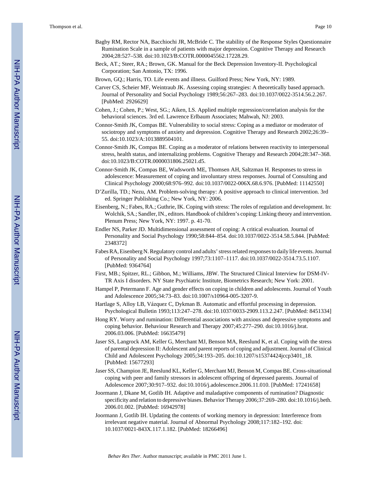- Bagby RM, Rector NA, Bacchiochi JR, McBride C. The stability of the Response Styles Questionnaire Rumination Scale in a sample of patients with major depression. Cognitive Therapy and Research 2004;28:527–538. doi:10.1023/B:COTR.0000045562.17228.29.
- Beck, AT.; Steer, RA.; Brown, GK. Manual for the Beck Depression Inventory-II. Psychological Corporation; San Antonio, TX: 1996.
- Brown, GQ.; Harris, TO. Life events and illness. Guilford Press; New York, NY: 1989.
- Carver CS, Scheier MF, Weintraub JK. Assessing coping strategies: A theoretically based approach. Journal of Personality and Social Psychology 1989;56:267–283. doi:10.1037/0022-3514.56.2.267. [PubMed: 2926629]
- Cohen, J.; Cohen, P.; West, SG.; Aiken, LS. Applied multiple regression/correlation analysis for the behavioral sciences. 3rd ed. Lawrence Erlbaum Associates; Mahwah, NJ: 2003.
- Connor-Smith JK, Compas BE. Vulnerability to social stress: Coping as a mediator or moderator of sociotropy and symptoms of anxiety and depression. Cognitive Therapy and Research 2002;26:39– 55. doi:10.1023/A:1013889504101.
- Connor-Smith JK, Compas BE. Coping as a moderator of relations between reactivity to interpersonal stress, health status, and internalizing problems. Cognitive Therapy and Research 2004;28:347–368. doi:10.1023/B:COTR.0000031806.25021.d5.
- Connor-Smith JK, Compas BE, Wadsworth ME, Thomsen AH, Saltzman H. Responses to stress in adolescence: Measurement of coping and involuntary stress responses. Journal of Consulting and Clinical Psychology 2000;68:976–992. doi:10.1037/0022-006X.68.6.976. [PubMed: 11142550]
- D'Zurilla, TD.; Nezu, AM. Problem-solving therapy: A positive approach to clinical intervention. 3rd ed. Springer Publishing Co.; New York, NY: 2006.
- Eisenberg, N.; Fabes, RA.; Guthrie, IK. Coping with stress: The roles of regulation and development. In: Wolchik, SA.; Sandler, IN., editors. Handbook of children's coping: Linking theory and intervention. Plenum Press; New York, NY: 1997. p. 41-70.
- Endler NS, Parker JD. Multidimensional assessment of coping: A critical evaluation. Journal of Personality and Social Psychology 1990;58:844–854. doi:10.1037/0022-3514.58.5.844. [PubMed: 2348372]
- Fabes RA, Eisenberg N. Regulatory control and adults' stress related responses to daily life events. Journal of Personality and Social Psychology 1997;73:1107–1117. doi:10.1037/0022-3514.73.5.1107. [PubMed: 9364764]
- First, MB.; Spitzer, RL.; Gibbon, M.; Williams, JBW. The Structured Clinical Interview for DSM-IV-TR Axis I disorders. NY State Psychiatric Institute, Biometrics Research; New York: 2001.
- Hampel P, Petermann F. Age and gender effects on coping in children and adolescents. Journal of Youth and Adolescence 2005;34:73–83. doi:10.1007/s10964-005-3207-9.
- Hartlage S, Alloy LB, Vázquez C, Dykman B. Automatic and effortful processing in depression. Psychological Bulletin 1993;113:247–278. doi:10.1037/0033-2909.113.2.247. [PubMed: 8451334]
- Hong RY. Worry and rumination: Differential associations with anxious and depressive symptoms and coping behavior. Behaviour Research and Therapy 2007;45:277–290. doi:10.1016/j.brat. 2006.03.006. [PubMed: 16635479]
- Jaser SS, Langrock AM, Keller G, Merchant MJ, Benson MA, Reeslund K, et al. Coping with the stress of parental depression II: Adolescent and parent reports of coping and adjustment. Journal of Clinical Child and Adolescent Psychology 2005;34:193–205. doi:10.1207/s15374424jccp3401\_18. [PubMed: 15677293]
- Jaser SS, Champion JE, Reeslund KL, Keller G, Merchant MJ, Benson M, Compas BE. Cross-situational coping with peer and family stressors in adolescent offspring of depressed parents. Journal of Adolescence 2007;30:917–932. doi:10.1016/j.adolescence.2006.11.010. [PubMed: 17241658]
- Joormann J, Dkane M, Gotlib IH. Adaptive and maladaptive components of rumination? Diagnostic specificity and relation to depressive biases. Behavior Therapy 2006;37:269–280. doi:10.1016/j.beth. 2006.01.002. [PubMed: 16942978]
- Joormann J, Gotlib IH. Updating the contents of working memory in depression: Interference from irrelevant negative material. Journal of Abnormal Psychology 2008;117:182–192. doi: 10.1037/0021-843X.117.1.182. [PubMed: 18266496]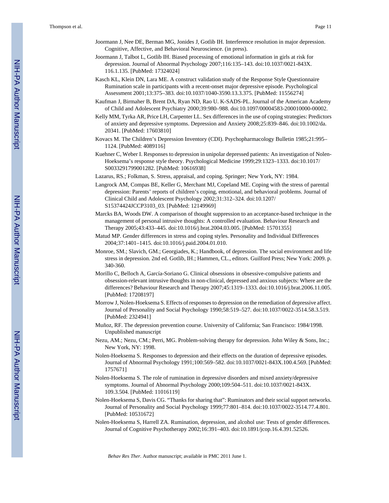- Joormann J, Nee DE, Berman MG, Jonides J, Gotlib IH. Interference resolution in major depression. Cognitive, Affective, and Behavioral Neuroscience. (in press).
- Joormann J, Talbot L, Gotlib IH. Biased processing of emotional information in girls at risk for depression. Journal of Abnormal Psychology 2007;116:135–143. doi:10.1037/0021-843X. 116.1.135. [PubMed: 17324024]
- Kasch KL, Klein DN, Lara ME. A construct validation study of the Response Style Questionnaire Rumination scale in participants with a recent-onset major depressive episode. Psychological Assessment 2001;13:375–383. doi:10.1037/1040-3590.13.3.375. [PubMed: 11556274]
- Kaufman J, Birmaher B, Brent DA, Ryan ND, Rao U. K-SADS-PL. Journal of the American Academy of Child and Adolescent Psychiatry 2000;39:980–988. doi:10.1097/00004583-200010000-00002.
- Kelly MM, Tyrka AR, Price LH, Carpenter LL. Sex differences in the use of coping strategies: Predictors of anxiety and depressive symptoms. Depression and Anxiety 2008;25:839–846. doi:10.1002/da. 20341. [PubMed: 17603810]
- Kovacs M. The Children's Depression Inventory (CDI). Psychopharmacology Bulletin 1985;21:995– 1124. [PubMed: 4089116]
- Kuehner C, Weber I. Responses to depression in unipolar depressed patients: An investigation of Nolen-Hoeksema's response style theory. Psychological Medicine 1999;29:1323–1333. doi:10.1017/ S0033291799001282. [PubMed: 10616938]
- Lazarus, RS.; Folkman, S. Stress, appraisal, and coping. Springer; New York, NY: 1984.
- Langrock AM, Compas BE, Keller G, Merchant MJ, Copeland ME. Coping with the stress of parental depression: Parents' reports of children's coping, emotional, and behavioral problems. Journal of Clinical Child and Adolescent Psychology 2002;31:312–324. doi:10.1207/ S15374424JCCP3103\_03. [PubMed: 12149969]
- Marcks BA, Woods DW. A comparison of thought suppression to an acceptance-based technique in the management of personal intrusive thoughts: A controlled evaluation. Behaviour Research and Therapy 2005;43:433–445. doi:10.1016/j.brat.2004.03.005. [PubMed: 15701355]
- Matud MP. Gender differences in stress and coping styles. Personality and Individual Differences 2004;37:1401–1415. doi:10.1016/j.paid.2004.01.010.
- Monroe, SM.; Slavich, GM.; Georgiades, K.; Handbook, of depression. The social environment and life stress in depression. 2nd ed. Gotlib, IH.; Hammen, CL., editors. Guilford Press; New York: 2009. p. 340-360.
- Morillo C, Belloch A, García-Soriano G. Clinical obsessions in obsessive-compulsive patients and obsession-relevant intrusive thoughts in non-clinical, depressed and anxious subjects: Where are the differences? Behaviour Research and Therapy 2007;45:1319–1333. doi:10.1016/j.brat.2006.11.005. [PubMed: 17208197]
- Morrow J, Nolen-Hoeksema S. Effects of responses to depression on the remediation of depressive affect. Journal of Personality and Social Psychology 1990;58:519–527. doi:10.1037/0022-3514.58.3.519. [PubMed: 2324941]
- Muñoz, RF. The depression prevention course. University of California; San Francisco: 1984/1998. Unpublished manuscript
- Nezu, AM.; Nezu, CM.; Perri, MG. Problem-solving therapy for depression. John Wiley & Sons, Inc.; New York, NY: 1998.
- Nolen-Hoeksema S. Responses to depression and their effects on the duration of depressive episodes. Journal of Abnormal Psychology 1991;100:569–582. doi:10.1037/0021-843X.100.4.569. [PubMed: 1757671]
- Nolen-Hoeksema S. The role of rumination in depressive disorders and mixed anxiety/depressive symptoms. Journal of Abnormal Psychology 2000;109:504–511. doi:10.1037/0021-843X. 109.3.504. [PubMed: 11016119]
- Nolen-Hoeksema S, Davis CG. "Thanks for sharing that": Ruminators and their social support networks. Journal of Personality and Social Psychology 1999;77:801–814. doi:10.1037/0022-3514.77.4.801. [PubMed: 10531672]
- Nolen-Hoeksema S, Harrell ZA. Rumination, depression, and alcohol use: Tests of gender differences. Journal of Cognitive Psychotherapy 2002;16:391–403. doi:10.1891/jcop.16.4.391.52526.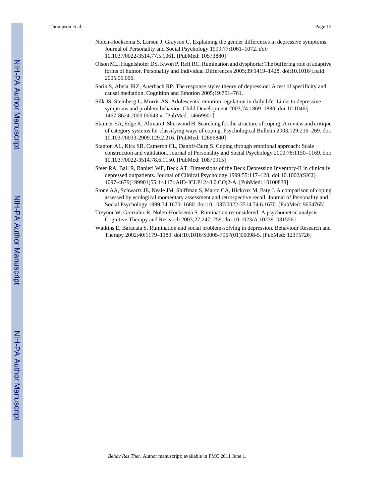- Nolen-Hoeksema S, Larson J, Grayson C. Explaining the gender differences in depressive symptoms. Journal of Personality and Social Psychology 1999;77:1061–1072. *doi:* 10.1037/0022-3514.77.5.1061. [PubMed: 10573880]
- Olson ML, Hugelshofer DS, Kwon P, Reff RC. Rumination and dysphoria: The buffering role of adaptive forms of humor. Personality and Individual Differences 2005;39:1419–1428. doi:10.1016/j.paid. 2005.05.006.
- Sarin S, Abela JRZ, Auerbach RP. The response styles theory of depression: A test of specificity and causal mediation. Cognition and Emotion 2005;19:751–761.
- Silk JS, Steinberg L, Morris AS. Adolescents' emotion regulation in daily life: Links to depressive symptoms and problem behavior. Child Development 2003;74:1869–1880. doi:10.1046/j. 1467-8624.2003.00643.x. [PubMed: 14669901]
- Skinner EA, Edge K, Altman J, Sherwood H. Searching for the structure of coping: A review and critique of category systems for classifying ways of coping. Psychological Bulletin 2003;129:216–269. doi: 10.1037/0033-2909.129.2.216. [PubMed: 12696840]
- Stanton AL, Kirk SB, Cameron CL, Danoff-Burg S. Coping through emotional approach: Scale construction and validation. Journal of Personality and Social Psychology 2000;78:1150–1169. doi: 10.1037/0022-3514.78.6.1150. [PubMed: 10870915]
- Steer RA, Ball R, Ranieri WF, Beck AT. Dimensions of the Beck Depression Inventory-II in clinically depressed outpatients. Journal of Clinical Psychology 1999;55:117–128. doi:10.1002/(SICI) 1097-4679(199901)55:1<117::AID-JCLP12>3.0.CO;2-A. [PubMed: 10100838]
- Stone AA, Schwartz JE, Neale JM, Shiffman S, Marco CA, Hickcox M, Paty J. A comparison of coping assessed by ecological momentary assessment and retrospective recall. Journal of Personality and Social Psychology 1999;74:1670–1680. doi:10.1037/0022-3514.74.6.1670. [PubMed: 9654765]
- Treynor W, Gonzalez R, Nolen-Hoeksema S. Rumination reconsidered: A psychometric analysis. Cognitive Therapy and Research 2003;27:247–259. doi:10.1023/A:1023910315561.
- Watkins E, Baracaia S. Rumination and social problem-solving in depression. Behaviour Research and Therapy 2002;40:1179–1189. doi:10.1016/S0005-7967(01)00098-5. [PubMed: 12375726]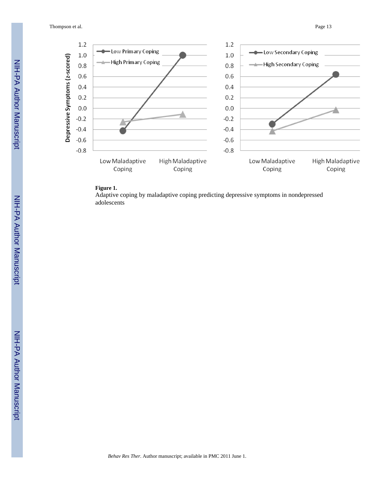Thompson et al. Page 13



#### **Figure 1.**

Adaptive coping by maladaptive coping predicting depressive symptoms in nondepressed adolescents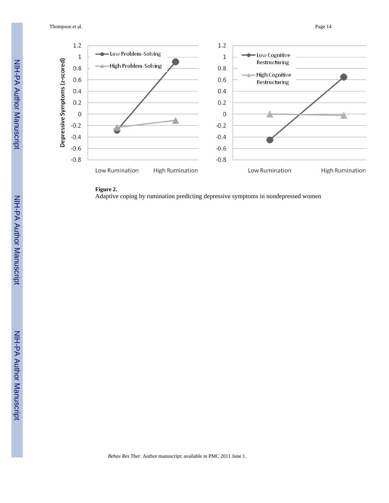Thompson et al. Page 14



### **Figure 2.**

Adaptive coping by rumination predicting depressive symptoms in nondepressed women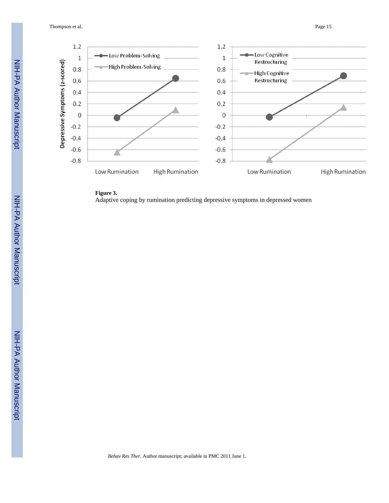Thompson et al. Page 15



**Figure 3.** Adaptive coping by rumination predicting depressive symptoms in depressed women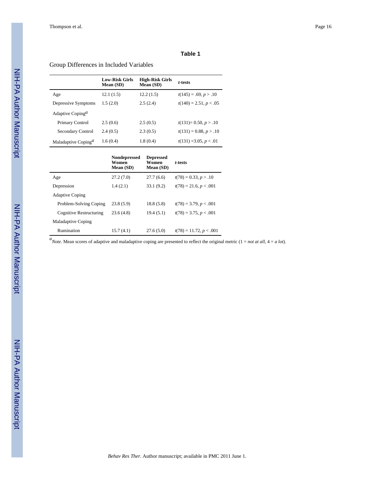## Group Differences in Included Variables

|                                              | <b>Low-Risk Girls</b><br>Mean (SD) | <b>High-Risk Girls</b><br>Mean (SD) | t-tests                  |
|----------------------------------------------|------------------------------------|-------------------------------------|--------------------------|
| Age                                          | 12.1(1.5)                          | 12.2(1.5)                           | $t(145) = .69, p > .10$  |
| Depressive Symptoms                          | 1.5(2.0)                           | 2.5(2.4)                            | $t(140) = 2.51, p < .05$ |
| Adaptive Coping <sup><math>a</math></sup>    |                                    |                                     |                          |
| Primary Control                              | 2.5(0.6)                           | 2.5(0.5)                            | $t(131)=0.50, p>10$      |
| Secondary Control                            | 2.4(0.5)                           | 2.3(0.5)                            | $t(131) = 0.88, p > .10$ |
| Maladaptive Coping <sup><math>a</math></sup> | 1.6(0.4)                           | 1.8(0.4)                            | $t(131) = 3.05, p < .01$ |

|                           | <b>Nondepressed</b><br>Women<br>Mean (SD) | <b>Depressed</b><br>Women<br>Mean (SD) | t-tests                   |
|---------------------------|-------------------------------------------|----------------------------------------|---------------------------|
| Age                       | 27.2(7.0)                                 | 27.7(6.6)                              | $t(78) = 0.33, p > .10$   |
| Depression                | 1.4(2.1)                                  | 33.1(9.2)                              | $t(78) = 21.6, p < .001$  |
| <b>Adaptive Coping</b>    |                                           |                                        |                           |
| Problem-Solving Coping    | 23.8(5.9)                                 | 18.8(5.8)                              | $t(78) = 3.79, p < .001$  |
| Cognitive Restructuring   | 23.6(4.8)                                 | 19.4(5.1)                              | $t(78) = 3.75, p < .001$  |
| <b>Maladaptive Coping</b> |                                           |                                        |                           |
| Rumination                | 15.7(4.1)                                 | 27.6(5.0)                              | $t(78) = 11.72, p < .001$ |

*a Note*. Mean scores of adaptive and maladaptive coping are presented to reflect the original metric (1 = *not at all*, 4 = *a lot*).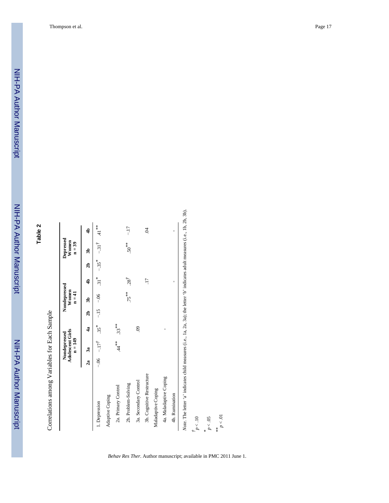Correlations among Variables for Each Sample Correlations among Variables for Each Sample

|                                                                                                                           |    | <b>Adolescent Girls</b><br>Nondepressed<br>$n = 149$ |                    |    | Nondepressed<br>Women<br>$n = 41$ |                   |                     | Depressed<br>Women<br>$n = 39$ |                    |
|---------------------------------------------------------------------------------------------------------------------------|----|------------------------------------------------------|--------------------|----|-----------------------------------|-------------------|---------------------|--------------------------------|--------------------|
|                                                                                                                           | 2a | 3a                                                   | $\frac{4}{3}$      | ลิ | B                                 | $\frac{4}{3}$     | $\overline{a}$      | B                              | $\frac{4}{3}$      |
| 1. Depression                                                                                                             |    | $-17^{\dagger}$                                      | $.35$ <sup>*</sup> |    | $-1.5 - 0.06$                     | $\overline{31}^*$ | $-.35$ <sup>*</sup> | $-31^{7}$                      | $41$ <sup>**</sup> |
| Adaptive Coping                                                                                                           |    |                                                      |                    |    |                                   |                   |                     |                                |                    |
| 2a. Primary Control                                                                                                       |    | $44*$                                                | $33^{**}$          |    |                                   |                   |                     |                                |                    |
| 2b. Problem-Solving                                                                                                       |    |                                                      |                    |    | $75***$                           | $.28^{7}$         |                     | $50^{***}$                     | $-17$              |
| 3a. Secondary Control                                                                                                     |    |                                                      | S.                 |    |                                   |                   |                     |                                |                    |
| 3b. Cognitive Restructure                                                                                                 |    |                                                      |                    |    |                                   | $\overline{11}$   |                     |                                | $\ddot{S}$         |
| Maladaptive Coping                                                                                                        |    |                                                      |                    |    |                                   |                   |                     |                                |                    |
| 4a. Maladaptive Coping                                                                                                    |    |                                                      |                    |    |                                   |                   |                     |                                |                    |
| 4b. Rumination                                                                                                            |    |                                                      |                    |    |                                   | ı                 |                     |                                | ı                  |
| Note. The letter 'a' indicates child measures (i.e., 1a, 2a, 3a); the letter 'b' indicates adult measures (i.e., 1b, 2b). |    |                                                      |                    |    |                                   |                   |                     |                                |                    |
| $\frac{t}{p}$ < .10                                                                                                       |    |                                                      |                    |    |                                   |                   |                     |                                |                    |
| $p<.05$<br>×                                                                                                              |    |                                                      |                    |    |                                   |                   |                     |                                |                    |
| $p<.01$<br>$*$                                                                                                            |    |                                                      |                    |    |                                   |                   |                     |                                |                    |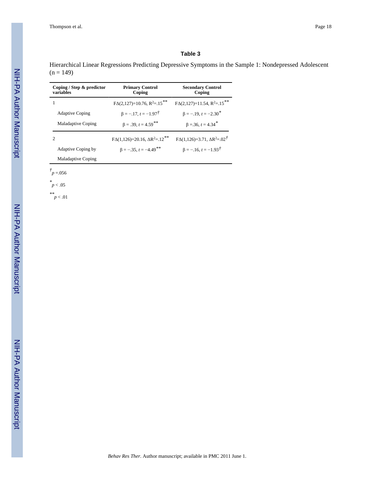Hierarchical Linear Regressions Predicting Depressive Symptoms in the Sample 1: Nondepressed Adolescent  $(n = 149)$ 

| Coping / Step & predictor<br>variables | <b>Primary Control</b><br>Coping                   | <b>Secondary Control</b><br>Coping        |
|----------------------------------------|----------------------------------------------------|-------------------------------------------|
|                                        | $F\Delta(2,127)=10.76$ , $R^2=.15***$              | $FA(2,127)=11.54, R^2=.15***$             |
| <b>Adaptive Coping</b>                 | $\beta = -17$ , $t = -1.97^{\circ}$                | $\beta = -.19$ , $t = -2.30$ <sup>*</sup> |
| <b>Maladaptive Coping</b>              | $\beta = .39, t = 4.59$ <sup>**</sup>              | $\beta = 36$ , $t = 4.34$ <sup>*</sup>    |
| $\mathcal{D}_{\mathcal{L}}$            | $FA(1,126)=20.16$ , $\Delta R^2=.12$ <sup>**</sup> | $FA(1,126)=3.71, \Delta R^2=.02^T$        |
| <b>Adaptive Coping by</b>              | $\beta = -35$ , $t = -4.49$ <sup>**</sup>          | $\beta = -16$ , $t = -1.93^{\dagger}$     |
| Maladaptive Coping                     |                                                    |                                           |

 $\dot{r}$ <sub>*p* = 056</sub>

*\* p* < .05

*\*\* p* < .01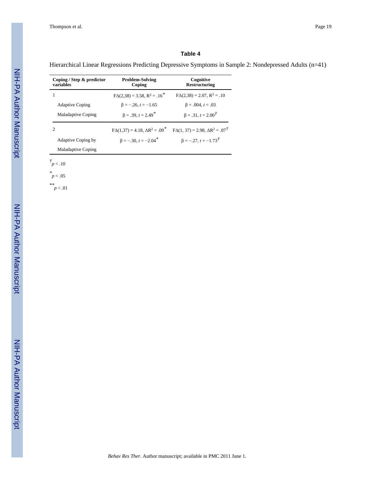Hierarchical Linear Regressions Predicting Depressive Symptoms in Sample 2: Nondepressed Adults (n=41)

| Coping / Step $\&$ predictor<br>variables | <b>Problem-Solving</b><br>Coping              | Cognitive<br>Restructuring                             |
|-------------------------------------------|-----------------------------------------------|--------------------------------------------------------|
|                                           | $FA(2,38) = 3.58$ , $R^2 = .16^*$             | $FA(2,38) = 2.07$ , $R^2 = .10$                        |
| <b>Adaptive Coping</b>                    | $\beta = -.26, t = -1.65$                     | $\beta = .004, t = .03$                                |
| Maladaptive Coping                        | $\beta = .39, t = 2.49$ <sup>*</sup>          | $\beta = .31, t = 2.00^{\dagger}$                      |
| 2                                         | $F\Delta(1.37) = 4.18$ , $\Delta R^2 = .09^*$ | $F\Delta(1, 37) = 2.98$ , $\Delta R^2 = .07^{\dagger}$ |
| Adaptive Coping by                        | $\beta = -.30, t = -2.04$ <sup>*</sup>        | $\beta = -.27, t = -1.73^{\dagger}$                    |
| Maladaptive Coping                        |                                               |                                                        |

*† p* < .10

*\* p* < .05

*\*\* p* < .01

NIH-PA Author Manuscript

NIH-PA Author Manuscript

NIH-PA Author Manuscript

NIH-PA Author Manuscript